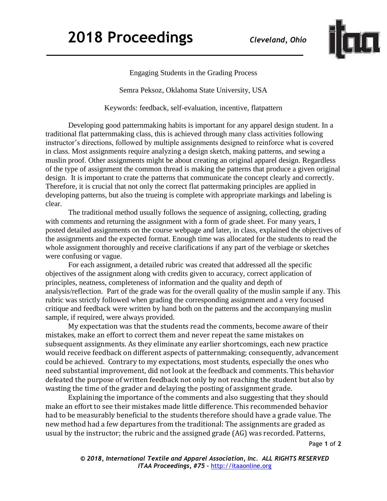

Engaging Students in the Grading Process

Semra Peksoz, Oklahoma State University, USA

Keywords: feedback, self-evaluation, incentive, flatpattern

Developing good patternmaking habits is important for any apparel design student. In a traditional flat patternmaking class, this is achieved through many class activities following instructor's directions, followed by multiple assignments designed to reinforce what is covered in class. Most assignments require analyzing a design sketch, making patterns, and sewing a muslin proof. Other assignments might be about creating an original apparel design. Regardless of the type of assignment the common thread is making the patterns that produce a given original design. It is important to crate the patterns that communicate the concept clearly and correctly. Therefore, it is crucial that not only the correct flat pattermaking principles are applied in developing patterns, but also the trueing is complete with appropriate markings and labeling is clear.

The traditional method usually follows the sequence of assigning, collecting, grading with comments and returning the assignment with a form of grade sheet. For many years, I posted detailed assignments on the course webpage and later, in class, explained the objectives of the assignments and the expected format. Enough time was allocated for the students to read the whole assignment thoroughly and receive clarifications if any part of the verbiage or sketches were confusing or vague.

For each assignment, a detailed rubric was created that addressed all the specific objectives of the assignment along with credits given to accuracy, correct application of principles, neatness, completeness of information and the quality and depth of analysis/reflection. Part of the grade was for the overall quality of the muslin sample if any. This rubric was strictly followed when grading the corresponding assignment and a very focused critique and feedback were written by hand both on the patterns and the accompanying muslin sample, if required, were always provided.

My expectation was that the students read the comments, become aware of their mistakes, make an effort to correct them and never repeat the same mistakes on subsequent assignments. As they eliminate any earlier shortcomings, each new practice would receive feedback on different aspects of patternmaking; consequently, advancement could be achieved. Contrary to my expectations, most students, especially the ones who need substantial improvement, did not look at the feedback and comments. This behavior defeated the purpose of written feedback not only by not reaching the student but also by wasting the time of the grader and delaying the posting of assignment grade.

Explaining the importance of the comments and also suggesting that they should make an effort to see their mistakes made little difference. This recommended behavior had to be measurably beneficial to the students therefore should have a grade value. The new method had a few departures from the traditional: The assignments are graded as usual by the instructor; the rubric and the assigned grade (AG) was recorded. Patterns,